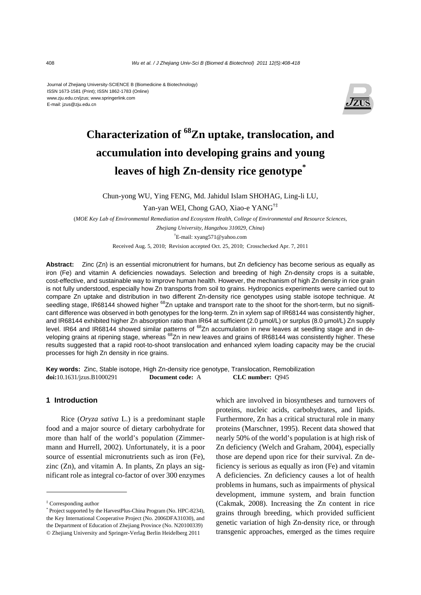Journal of Zhejiang University-SCIENCE B (Biomedicine & Biotechnology) ISSN 1673-1581 (Print); ISSN 1862-1783 (Online) www.zju.edu.cn/jzus; www.springerlink.com E-mail: jzus@zju.edu.cn



# **Characterization of 68Zn uptake, translocation, and accumulation into developing grains and young leaves of high Zn-density rice genotype\***

Chun-yong WU, Ying FENG, Md. Jahidul Islam SHOHAG, Ling-li LU,

Yan-yan WEI, Chong GAO, Xiao-e YANG†‡

(*MOE Key Lab of Environmental Remediation and Ecosystem Health, College of Environmental and Resource Sciences,* 

*Zhejiang University, Hangzhou 310029, China*) † E-mail: xyang571@yahoo.com

Received Aug. 5, 2010; Revision accepted Oct. 25, 2010; Crosschecked Apr. 7, 2011

**Abstract:** Zinc (Zn) is an essential micronutrient for humans, but Zn deficiency has become serious as equally as iron (Fe) and vitamin A deficiencies nowadays. Selection and breeding of high Zn-density crops is a suitable, cost-effective, and sustainable way to improve human health. However, the mechanism of high Zn density in rice grain is not fully understood, especially how Zn transports from soil to grains. Hydroponics experiments were carried out to compare Zn uptake and distribution in two different Zn-density rice genotypes using stable isotope technique. At seedling stage, IR68144 showed higher <sup>68</sup>Zn uptake and transport rate to the shoot for the short-term, but no significant difference was observed in both genotypes for the long-term. Zn in xylem sap of IR68144 was consistently higher, and IR68144 exhibited higher Zn absorption ratio than IR64 at sufficient (2.0 µmol/L) or surplus (8.0 µmol/L) Zn supply level. IR64 and IR68144 showed similar patterns of <sup>68</sup>Zn accumulation in new leaves at seedling stage and in developing grains at ripening stage, whereas <sup>68</sup>Zn in new leaves and grains of IR68144 was consistently higher. These results suggested that a rapid root-to-shoot translocation and enhanced xylem loading capacity may be the crucial processes for high Zn density in rice grains.

**Key words:** Zinc, Stable isotope, High Zn-density rice genotype, Translocation, Remobilization **doi:**10.1631/jzus.B1000291 **Document code:** A **CLC number:** Q945

## **1 Introduction**

Rice (*Oryza sativa* L.) is a predominant staple food and a major source of dietary carbohydrate for more than half of the world's population (Zimmermann and Hurrell, 2002). Unfortunately, it is a poor source of essential micronutrients such as iron (Fe), zinc (Zn), and vitamin A. In plants, Zn plays an significant role as integral co-factor of over 300 enzymes

which are involved in biosyntheses and turnovers of proteins, nucleic acids, carbohydrates, and lipids. Furthermore, Zn has a critical structural role in many proteins (Marschner, 1995). Recent data showed that nearly 50% of the world's population is at high risk of Zn deficiency (Welch and Graham, 2004), especially those are depend upon rice for their survival. Zn deficiency is serious as equally as iron (Fe) and vitamin A deficiencies. Zn deficiency causes a lot of health problems in humans, such as impairments of physical development, immune system, and brain function (Cakmak, 2008). Increasing the Zn content in rice grains through breeding, which provided sufficient genetic variation of high Zn-density rice, or through transgenic approaches, emerged as the times require

<sup>‡</sup> Corresponding author

<sup>\*</sup> Project supported by the HarvestPlus-China Program (No. HPC-8234), the Key International Cooperative Project (No. 2006DFA31030), and the Department of Education of Zhejiang Province (No. N20100339) © Zhejiang University and Springer-Verlag Berlin Heidelberg 2011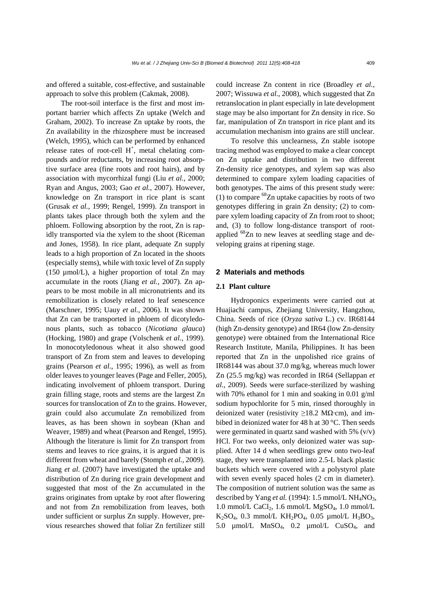and offered a suitable, cost-effective, and sustainable approach to solve this problem (Cakmak, 2008).

The root-soil interface is the first and most important barrier which affects Zn uptake (Welch and Graham, 2002). To increase Zn uptake by roots, the Zn availability in the rhizosphere must be increased (Welch, 1995), which can be performed by enhanced release rates of root-cell  $H^+$ , metal chelating compounds and/or reductants, by increasing root absorptive surface area (fine roots and root hairs), and by association with mycorrhizal fungi (Liu *et al.*, 2000; Ryan and Angus, 2003; Gao *et al.*, 2007). However, knowledge on Zn transport in rice plant is scant (Grusak *et al.*, 1999; Rengel, 1999). Zn transport in plants takes place through both the xylem and the phloem. Following absorption by the root, Zn is rapidly transported via the xylem to the shoot (Riceman and Jones, 1958). In rice plant, adequate Zn supply leads to a high proportion of Zn located in the shoots (especially stems), while with toxic level of Zn supply (150 µmol/L), a higher proportion of total Zn may accumulate in the roots (Jiang *et al.*, 2007). Zn appears to be most mobile in all micronutrients and its remobilization is closely related to leaf senescence (Marschner, 1995; Uauy *et al.*, 2006). It was shown that Zn can be transported in phloem of dicotyledonous plants, such as tobacco (*Nicotiana glauca*) (Hocking, 1980) and grape (Volschenk *et al.*, 1999). In monocotyledonous wheat it also showed good transport of Zn from stem and leaves to developing grains (Pearson *et al.*, 1995; 1996), as well as from older leaves to younger leaves (Page and Feller, 2005), indicating involvement of phloem transport. During grain filling stage, roots and stems are the largest Zn sources for translocation of Zn to the grains. However, grain could also accumulate Zn remobilized from leaves, as has been shown in soybean (Khan and Weaver, 1989) and wheat (Pearson and Rengel, 1995). Although the literature is limit for Zn transport from stems and leaves to rice grains, it is argued that it is different from wheat and barely (Stomph *et al.*, 2009). Jiang *et al*. (2007) have investigated the uptake and distribution of Zn during rice grain development and suggested that most of the Zn accumulated in the grains originates from uptake by root after flowering and not from Zn remobilization from leaves, both under sufficient or surplus Zn supply. However, previous researches showed that foliar Zn fertilizer still

could increase Zn content in rice (Broadley *et al.*, 2007; Wissuwa *et al*., 2008), which suggested that Zn retranslocation in plant especially in late development stage may be also important for Zn density in rice. So far, manipulation of Zn transport in rice plant and its accumulation mechanism into grains are still unclear.

To resolve this unclearness, Zn stable isotope tracing method was employed to make a clear concept on Zn uptake and distribution in two different Zn-density rice genotypes, and xylem sap was also determined to compare xylem loading capacities of both genotypes. The aims of this present study were: (1) to compare  ${}^{68}Zn$  uptake capacities by roots of two genotypes differing in grain Zn density; (2) to compare xylem loading capacity of Zn from root to shoot; and, (3) to follow long-distance transport of rootapplied <sup>68</sup>Zn to new leaves at seedling stage and developing grains at ripening stage.

## **2 Materials and methods**

#### **2.1 Plant culture**

Hydroponics experiments were carried out at Huajiachi campus, Zhejiang University, Hangzhou, China. Seeds of rice (*Oryza sativa* L.) cv. IR68144 (high Zn-density genotype) and IR64 (low Zn-density genotype) were obtained from the International Rice Research Institute, Manila, Philippines. It has been reported that Zn in the unpolished rice grains of IR68144 was about 37.0 mg/kg, whereas much lower Zn (25.5 mg/kg) was recorded in IR64 (Sellappan *et al.*, 2009). Seeds were surface-sterilized by washing with 70% ethanol for 1 min and soaking in 0.01 g/ml sodium hypochlorite for 5 min, rinsed thoroughly in deionized water (resistivity  $\geq$ 18.2 M $\Omega$ ·cm), and imbibed in deionized water for 48 h at 30 °C. Then seeds were germinated in quartz sand washed with 5%  $(v/v)$ HCl. For two weeks, only deionized water was supplied. After 14 d when seedlings grew onto two-leaf stage, they were transplanted into 2.5-L black plastic buckets which were covered with a polystyrol plate with seven evenly spaced holes  $(2 \text{ cm in diameter})$ . The composition of nutrient solution was the same as described by Yang *et al.* (1994): 1.5 mmol/L NH<sub>4</sub>NO<sub>3</sub>, 1.0 mmol/L CaCl<sub>2</sub>, 1.6 mmol/L MgSO<sub>4</sub>, 1.0 mmol/L  $K_2SO_4$ , 0.3 mmol/L  $KH_2PO_4$ , 0.05 µmol/L  $H_3BO_3$ , 5.0  $\mu$ mol/L MnSO<sub>4</sub>, 0.2  $\mu$ mol/L CuSO<sub>4</sub>, and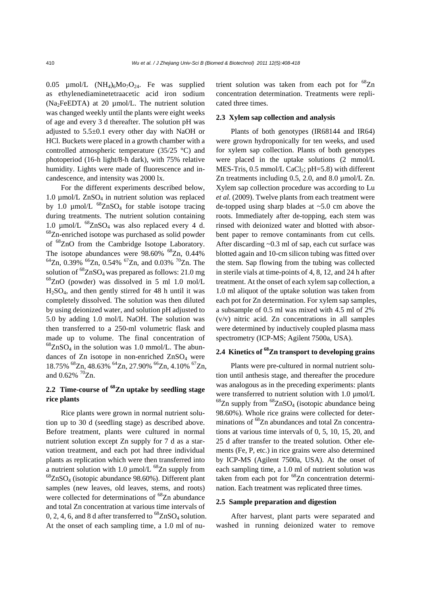0.05  $\mu$ mol/L (NH<sub>4</sub>)<sub>6</sub>Mo<sub>7</sub>O<sub>24</sub>. Fe was supplied as ethylenediaminetetraacetic acid iron sodium (Na2FeEDTA) at 20 µmol/L. The nutrient solution was changed weekly until the plants were eight weeks of age and every 3 d thereafter. The solution pH was adjusted to 5.5±0.1 every other day with NaOH or HCl. Buckets were placed in a growth chamber with a controlled atmospheric temperature (35/25 °C) and photoperiod (16-h light/8-h dark), with 75% relative humidity. Lights were made of fluorescence and incandescence, and intensity was 2000 lx.

For the different experiments described below, 1.0  $\mu$ mol/L ZnSO<sub>4</sub> in nutrient solution was replaced by 1.0  $\mu$ mol/L <sup>68</sup>ZnSO<sub>4</sub> for stable isotope tracing during treatments. The nutrient solution containing 1.0  $\mu$ mol/L <sup>68</sup>ZnSO<sub>4</sub> was also replaced every 4 d. 68Zn-enriched isotope was purchased as solid powder of 68ZnO from the Cambridge Isotope Laboratory. The isotope abundances were  $98.60\%$  <sup>68</sup>Zn, 0.44%  $^{64}$ Zn, 0.39%  $^{66}$ Zn, 0.54%  $^{67}$ Zn, and 0.03%  $^{70}$ Zn. The solution of  ${}^{68}ZnSO_4$  was prepared as follows: 21.0 mg  ${}^{68}$ ZnO (powder) was dissolved in 5 ml 1.0 mol/L  $H<sub>2</sub>SO<sub>4</sub>$ , and then gently stirred for 48 h until it was completely dissolved. The solution was then diluted by using deionized water, and solution pH adjusted to 5.0 by adding 1.0 mol/L NaOH. The solution was then transferred to a 250-ml volumetric flask and made up to volume. The final concentration of  ${}^{68}ZnSO_4$  in the solution was 1.0 mmol/L. The abundances of Zn isotope in non-enriched  $ZnSO<sub>4</sub>$  were 18.75% 68Zn, 48.63% 64Zn, 27.90% 66Zn, 4.10% 67Zn, and  $0.62\%$   $^{70}Zn$ .

# **2.2 Time-course of 68Zn uptake by seedling stage rice plants**

Rice plants were grown in normal nutrient solution up to 30 d (seedling stage) as described above. Before treatment, plants were cultured in normal nutrient solution except Zn supply for 7 d as a starvation treatment, and each pot had three individual plants as replication which were then transferred into a nutrient solution with 1.0  $\mu$ mol/L <sup>68</sup>Zn supply from  ${}^{68}ZnSO_4$  (isotopic abundance 98.60%). Different plant samples (new leaves, old leaves, stems, and roots) were collected for determinations of  ${}^{68}Zn$  abundance and total Zn concentration at various time intervals of 0, 2, 4, 6, and 8 d after transferred to  ${}^{68}ZnSO_4$  solution. At the onset of each sampling time, a 1.0 ml of nutrient solution was taken from each pot for  ${}^{68}Zn$ concentration determination. Treatments were replicated three times.

#### **2.3 Xylem sap collection and analysis**

Plants of both genotypes (IR68144 and IR64) were grown hydroponically for ten weeks, and used for xylem sap collection. Plants of both genotypes were placed in the uptake solutions (2 mmol/L MES-Tris,  $0.5 \text{ mmol/L }$ CaCl<sub>2</sub>; pH=5.8) with different Zn treatments including 0.5, 2.0, and 8.0 µmol/L Zn. Xylem sap collection procedure was according to Lu *et al.* (2009). Twelve plants from each treatment were de-topped using sharp blades at  $\sim$ 5.0 cm above the roots. Immediately after de-topping, each stem was rinsed with deionized water and blotted with absorbent paper to remove contaminants from cut cells. After discarding ~0.3 ml of sap, each cut surface was blotted again and 10-cm silicon tubing was fitted over the stem. Sap flowing from the tubing was collected in sterile vials at time-points of 4, 8, 12, and 24 h after treatment. At the onset of each xylem sap collection, a 1.0 ml aliquot of the uptake solution was taken from each pot for Zn determination. For xylem sap samples, a subsample of 0.5 ml was mixed with 4.5 ml of 2% (v/v) nitric acid. Zn concentrations in all samples were determined by inductively coupled plasma mass spectrometry (ICP-MS; Agilent 7500a, USA).

# **2.4 Kinetics of 68Zn transport to developing grains**

Plants were pre-cultured in normal nutrient solution until anthesis stage, and thereafter the procedure was analogous as in the preceding experiments: plants were transferred to nutrient solution with 1.0  $\mu$ mol/L  ${}^{68}Zn$  supply from  ${}^{68}ZnSO_4$  (isotopic abundance being 98.60%). Whole rice grains were collected for determinations of <sup>68</sup>Zn abundances and total Zn concentrations at various time intervals of 0, 5, 10, 15, 20, and 25 d after transfer to the treated solution. Other elements (Fe, P, etc.) in rice grains were also determined by ICP-MS (Agilent 7500a, USA). At the onset of each sampling time, a 1.0 ml of nutrient solution was taken from each pot for  ${}^{68}Zn$  concentration determination. Each treatment was replicated three times.

#### **2.5 Sample preparation and digestion**

After harvest, plant parts were separated and washed in running deionized water to remove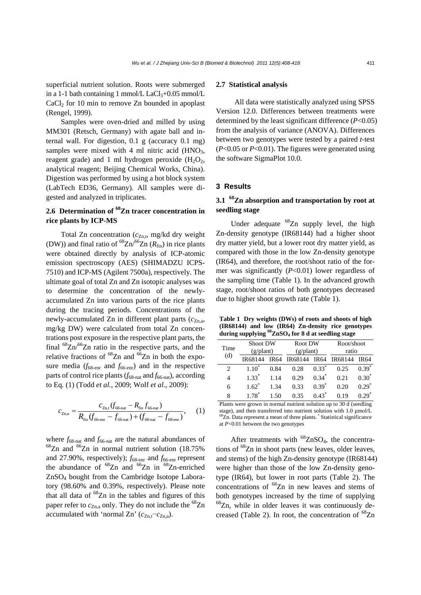Samples were oven-dried and milled by using MM301 (Retsch, Germany) with agate ball and internal wall. For digestion, 0.1 g (accuracy 0.1 mg) samples were mixed with 4 ml nitric acid  $(HNO<sub>3</sub>$ , reagent grade) and 1 ml hydrogen peroxide  $(H_2O_2)$ , analytical reagent; Beijing Chemical Works, China). Digestion was performed by using a hot block system (LabTech ED36, Germany). All samples were digested and analyzed in triplicates.

# **2.6 Determination of 68Zn tracer concentration in rice plants by ICP-MS**

Total Zn concentration  $(c_{Zn,t}, mg/kd)$  dry weight (DW)) and final ratio of  ${}^{68}Zn/{}^{66}Zn$  ( $R_{fin}$ ) in rice plants were obtained directly by analysis of ICP-atomic emission spectroscopy (AES) (SHIMADZU ICPS-7510) and ICP-MS (Agilent 7500a), respectively. The ultimate goal of total Zn and Zn isotopic analyses was to determine the concentration of the newlyaccumulated Zn into various parts of the rice plants during the tracing periods. Concentrations of the newly-accumulated Zn in different plant parts  $(c_{Zn,a}$ , mg/kg DW) were calculated from total Zn concentrations post exposure in the respective plant parts, the final  ${}^{68}Zn/{}^{66}Zn$  ratio in the respective parts, and the relative fractions of  ${}^{68}Zn$  and  ${}^{66}Zn$  in both the exposure media ( $f_{68\text{-enr}}$  and  $f_{66\text{-enr}}$ ) and in the respective parts of control rice plants  $(f_{68-nat}$  and  $f_{66-nat}$ ), according to Eq. (1) (Todd *et al.*, 2009; Wolf *et al.*, 2009):

$$
c_{\text{Zn,a}} = \frac{c_{\text{Zn,t}}(f_{68\text{-nat}} - R_{\text{fin}}f_{66\text{-nat}})}{R_{\text{fin}}(f_{66\text{-ent}} - f_{66\text{-nat}}) + (f_{68\text{-nat}} - f_{68\text{-ent}})},\qquad(1)
$$

where  $f_{68-{\rm nat}}$  and  $f_{66-{\rm nat}}$  are the natural abundances of  $^{68}Zn$  and  $^{66}Zn$  in normal nutrient solution (18.75%) and 27.90%, respectively);  $f_{68\text{-enr}}$  and  $f_{66\text{-enr}}$  represent the abundance of  ${}^{68}Zn$  and  ${}^{66}Zn$  in  ${}^{68}Zn$ -enriched ZnSO4 bought from the Cambridge Isotope Laboratory (98.60% and 0.39%, respectively). Please note that all data of  ${}^{68}Zn$  in the tables and figures of this paper refer to  $c_{Zn,a}$  only. They do not include the <sup>68</sup>Zn accumulated with 'normal Zn'  $(c_{7n}t-C_{7n}a)$ .

## **2.7 Statistical analysis**

All data were statistically analyzed using SPSS Version 12.0. Differences between treatments were determined by the least significant difference (*P*<0.05) from the analysis of variance (ANOVA). Differences between two genotypes were tested by a paired *t*-test (*P*<0.05 or *P*<0.01). The figures were generated using the software SigmaPlot 10.0.

### **3 Results**

# **3.1 68Zn absorption and transportation by root at seedling stage**

Under adequate  ${}^{68}Zn$  supply level, the high Zn-density genotype (IR68144) had a higher shoot dry matter yield, but a lower root dry matter yield, as compared with those in the low Zn-density genotype (IR64), and therefore, the root/shoot ratio of the former was significantly (*P*<0.01) lower regardless of the sampling time (Table 1). In the advanced growth stage, root/shoot ratios of both genotypes decreased due to higher shoot growth rate (Table 1).

**Table 1 Dry weights (DWs) of roots and shoots of high (IR68144) and low (IR64) Zn-density rice genotypes during supplying 68ZnSO4 for 8 d at seedling stage**

| Time | <b>Shoot DW</b><br>(g/plant) |             | Root DW<br>(g/plant) |             | Root/shoot<br>ratio |             |
|------|------------------------------|-------------|----------------------|-------------|---------------------|-------------|
| (d)  | IR68144                      | <b>IR64</b> | IR68144              | <b>IR64</b> | IR68144             | <b>IR64</b> |
| 2    | 110                          | 0.84        | 0.28                 | $0.33^{7}$  | 0.25                | $0.39*$     |
| 4    | $1.33*$                      | 1.14        | 0.29                 | $0.34*$     | 0.21                | $0.30*$     |
| 6    | $1.62^*$                     | 1.34        | 0.33                 | $0.39*$     | 0.20                | $0.29*$     |
| 8    | $178*$                       |             | 0.35                 | 0.43        | 19                  |             |

Plants were grown in normal nutrient solution up to 30 d (seedling stage), and then transferred into nutrient solution with 1.0  $\mu$ mol/L  ${}^{8}Zn$ . Data represent a mean of three plants.  ${}^{*}$  Statistical significance at *P*<0.01 between the two genotypes

After treatments with  $^{68}ZnSO_4$ , the concentrations of 68Zn in shoot parts (new leaves, older leaves, and stems) of the high Zn-density genotype (IR68144) were higher than those of the low Zn-density genotype (IR64), but lower in root parts (Table 2). The concentrations of  ${}^{68}Zn$  in new leaves and stems of both genotypes increased by the time of supplying  $68$ Zn, while in older leaves it was continuously decreased (Table 2). In root, the concentration of  ${}^{68}Zn$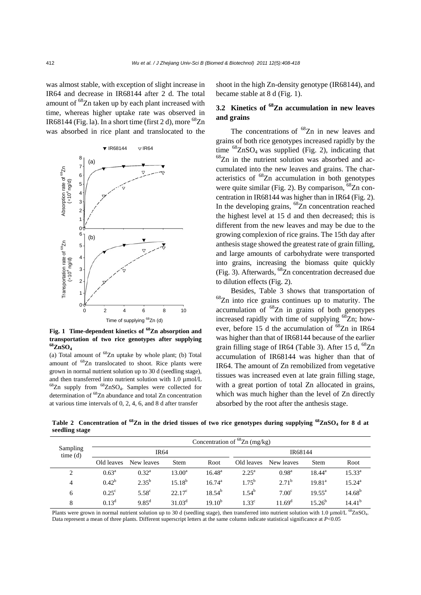was almost stable, with exception of slight increase in IR64 and decrease in IR68144 after 2 d. The total amount of <sup>68</sup>Zn taken up by each plant increased with time, whereas higher uptake rate was observed in IR68144 (Fig. la). In a short time (first 2 d), more  ${}^{68}Zn$ was absorbed in rice plant and translocated to the



**Fig. 1 Time-dependent kinetics of 68Zn absorption and transportation of two rice genotypes after supplying 68ZnSO4**

(a) Total amount of  ${}^{68}Zn$  uptake by whole plant; (b) Total amount of 68Zn translocated to shoot. Rice plants were grown in normal nutrient solution up to 30 d (seedling stage), and then transferred into nutrient solution with 1.0  $\mu$ mol/L  $68$ Zn supply from  $68$ ZnSO<sub>4</sub>. Samples were collected for determination of 68Zn abundance and total Zn concentration at various time intervals of 0, 2, 4, 6, and 8 d after transfer

shoot in the high Zn-density genotype (IR68144), and became stable at 8 d (Fig. 1).

# **3.2 Kinetics of 68Zn accumulation in new leaves and grains**

The concentrations of  ${}^{68}Zn$  in new leaves and grains of both rice genotypes increased rapidly by the time  ${}^{68}ZnSO_4$  was supplied (Fig. 2), indicating that  $68$ Zn in the nutrient solution was absorbed and accumulated into the new leaves and grains. The characteristics of <sup>68</sup>Zn accumulation in both genotypes were quite similar (Fig. 2). By comparison,  $^{68}Zn$  concentration in IR68144 was higher than in IR64 (Fig. 2). In the developing grains,  $^{68}Zn$  concentration reached the highest level at 15 d and then decreased; this is different from the new leaves and may be due to the growing complexion of rice grains. The 15th day after anthesis stage showed the greatest rate of grain filling, and large amounts of carbohydrate were transported into grains, increasing the biomass quite quickly (Fig. 3). Afterwards,  $^{68}Zn$  concentration decreased due to dilution effects (Fig. 2).

Besides, Table 3 shows that transportation of 68Zn into rice grains continues up to maturity. The accumulation of  ${}^{68}Zn$  in grains of both genotypes increased rapidly with time of supplying  $^{68}Zn$ ; however, before 15 d the accumulation of  $^{68}Zn$  in IR64 was higher than that of IR68144 because of the earlier grain filling stage of IR64 (Table 3). After 15 d,  $^{68}Zn$ accumulation of IR68144 was higher than that of IR64. The amount of Zn remobilized from vegetative tissues was increased even at late grain filling stage, with a great portion of total Zn allocated in grains, which was much higher than the level of Zn directly absorbed by the root after the anthesis stage.

**Table 2 Concentration of 68Zn in the dried tissues of two rice genotypes during supplying 68ZnSO4 for 8 d at seedling stage** 

|                     | Concentration of ${}^{68}Zn$ (mg/kg) |                |                 |                 |                |                    |                 |                    |
|---------------------|--------------------------------------|----------------|-----------------|-----------------|----------------|--------------------|-----------------|--------------------|
| Sampling<br>time(d) | <b>IR64</b>                          |                |                 |                 | IR68144        |                    |                 |                    |
|                     | Old leaves                           | New leaves     | <b>Stem</b>     | Root            | Old leaves     | New leaves         | <b>Stem</b>     | Root               |
| 2                   | $0.63^{\rm a}$                       | $0.32^{\rm a}$ | $13.00^{\rm a}$ | $16.48^{\rm a}$ | $2.25^{\rm a}$ | $0.98^{\rm a}$     | $18.44^{\circ}$ | $15.33^{a}$        |
| $\overline{4}$      | $0.42^{b}$                           | $2.35^{b}$     | $15.18^{b}$     | $16.74^{\circ}$ | $1.75^{b}$     | $2.71^{\rm b}$     | $19.81^{a}$     | $15.24^{\rm a}$    |
| 6                   | $0.25^{\circ}$                       | $5.58^\circ$   | $22.17^{\circ}$ | $18.54^{b}$     | $1.54^{b}$     | 7.00 <sup>c</sup>  | $19.55^{\circ}$ | $14.68^{b}$        |
| 8                   | $0.13^d$                             | $9.85^{\rm d}$ | $31.03^d$       | $19.10^{b}$     | $1.33^c$       | 11.69 <sup>d</sup> | $15.26^{b}$     | 14.41 <sup>b</sup> |

Plants were grown in normal nutrient solution up to 30 d (seedling stage), then transferred into nutrient solution with 1.0 µmol/L <sup>68</sup>ZnSO<sub>4</sub>. Data represent a mean of three plants. Different superscript letters at the same column indicate statistical significance at *P*<0.05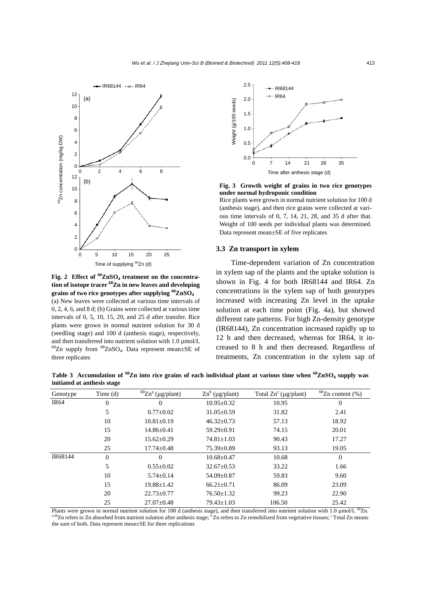

**Fig. 2 Effect of 68ZnSO4 treatment on the concentration of isotope tracer 68Zn in new leaves and developing grains of two rice genotypes after supplying 68ZnSO4** (a) New leaves were collected at various time intervals of 0, 2, 4, 6, and 8 d; (b) Grains were collected at various time intervals of 0, 5, 10, 15, 20, and 25 d after transfer. Rice plants were grown in normal nutrient solution for 30 d (seedling stage) and 100 d (anthesis stage), respectively, and then transferred into nutrient solution with 1.0 µmol/L  $68$ Zn supply from  $68$ ZnSO<sub>4</sub>. Data represent mean $\pm$ SE of three replicates



**Fig. 3 Growth weight of grains in two rice genotypes under normal hydroponic condition** 

Rice plants were grown in normal nutrient solution for 100 d (anthesis stage), and then rice grains were collected at various time intervals of 0, 7, 14, 21, 28, and 35 d after that. Weight of 100 seeds per individual plants was determined. Data represent mean±SE of five replicates

## **3.3 Zn transport in xylem**

Time-dependent variation of Zn concentration in xylem sap of the plants and the uptake solution is shown in Fig. 4 for both IR68144 and IR64. Zn concentrations in the xylem sap of both genotypes increased with increasing Zn level in the uptake solution at each time point (Fig. 4a), but showed different rate patterns. For high Zn-density genotype (IR68144), Zn concentration increased rapidly up to 12 h and then decreased, whereas for IR64, it increased to 8 h and then decreased. Regardless of treatments, Zn concentration in the xylem sap of

**Table 3** Accumulation of <sup>68</sup>Zn into rice grains of each individual plant at various time when <sup>68</sup>ZnSO<sub>4</sub> supply was **initiated at anthesis stage** 

| Genotype    | Time $(d)$ | ${}^{68}Zn^a$ (µg/plant) | $\text{Zn}^b$ (µg/plant) | Total $Zn^c$ ( $\mu$ g/plant) | ${}^{68}Zn$ content (%) |
|-------------|------------|--------------------------|--------------------------|-------------------------------|-------------------------|
| <b>IR64</b> | $\theta$   | $\Omega$                 | $10.95 \pm 0.32$         | 10.95                         | $\overline{0}$          |
|             | 5          | $0.77 \pm 0.02$          | $31.05 \pm 0.59$         | 31.82                         | 2.41                    |
|             | 10         | $10.81 \pm 0.19$         | $46.32 \pm 0.73$         | 57.13                         | 18.92                   |
|             | 15         | $14.86 \pm 0.41$         | $59.29 \pm 0.91$         | 74.15                         | 20.01                   |
|             | 20         | $15.62 \pm 0.29$         | $74.81 \pm 1.03$         | 90.43                         | 17.27                   |
|             | 25         | $17.74 \pm 0.48$         | $75.39 \pm 0.89$         | 93.13                         | 19.05                   |
| IR68144     | $\Omega$   | $\Omega$                 | $10.68 \pm 0.47$         | 10.68                         | $\overline{0}$          |
|             | 5          | $0.55 \pm 0.02$          | $32.67 \pm 0.53$         | 33.22                         | 1.66                    |
|             | 10         | $5.74 \pm 0.14$          | $54.09 \pm 0.87$         | 59.83                         | 9.60                    |
|             | 15         | $19.88 \pm 1.42$         | $66.21 \pm 0.71$         | 86.09                         | 23.09                   |
|             | 20         | $22.73 \pm 0.77$         | $76.50 \pm 1.32$         | 99.23                         | 22.90                   |
|             | 25         | $27.07 \pm 0.48$         | $79.43 \pm 1.03$         | 106.50                        | 25.42                   |

Plants were grown in normal nutrient solution for 100 d (anthesis stage), and then transferred into nutrient solution with 1.0  $\mu$ mol/L<sup>68</sup>Zn.<br><sup>a 68</sup>Zn refers to Zn absorbed from nutrient solution after anthesis stage; <sup></sup> the sum of both. Data represent mean±SE for three replications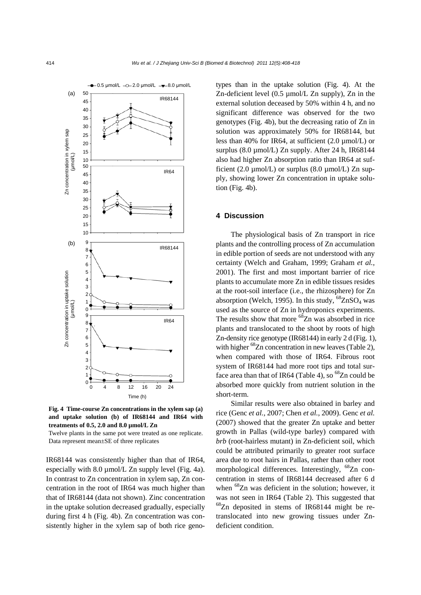

**Fig. 4 Time-course Zn concentrations in the xylem sap (a) and uptake solution (b) of IR68144 and IR64 with treatments of 0.5, 2.0 and 8.0 µmol/L Zn** 

Twelve plants in the same pot were treated as one replicate. Data represent mean±SE of three replicates

IR68144 was consistently higher than that of IR64, especially with  $8.0 \mu$ mol/L Zn supply level (Fig. 4a). In contrast to Zn concentration in xylem sap, Zn concentration in the root of IR64 was much higher than that of IR68144 (data not shown). Zinc concentration in the uptake solution decreased gradually, especially during first 4 h (Fig. 4b). Zn concentration was consistently higher in the xylem sap of both rice genotypes than in the uptake solution (Fig. 4). At the Zn-deficient level (0.5 µmol/L Zn supply), Zn in the external solution deceased by 50% within 4 h, and no significant difference was observed for the two genotypes (Fig. 4b), but the decreasing ratio of Zn in solution was approximately 50% for IR68144, but less than 40% for IR64, at sufficient (2.0 µmol/L) or surplus (8.0 µmol/L) Zn supply. After 24 h, IR68144 also had higher Zn absorption ratio than IR64 at sufficient (2.0  $\mu$ mol/L) or surplus (8.0  $\mu$ mol/L) Zn supply, showing lower Zn concentration in uptake solution (Fig. 4b).

### **4 Discussion**

The physiological basis of Zn transport in rice plants and the controlling process of Zn accumulation in edible portion of seeds are not understood with any certainty (Welch and Graham, 1999; Graham *et al.*, 2001). The first and most important barrier of rice plants to accumulate more Zn in edible tissues resides at the root-soil interface (i.e., the rhizosphere) for Zn absorption (Welch, 1995). In this study,  ${}^{68}ZnSO_4$  was used as the source of Zn in hydroponics experiments. The results show that more  ${}^{68}Zn$  was absorbed in rice plants and translocated to the shoot by roots of high Zn-density rice genotype (IR68144) in early 2 d (Fig. 1), with higher  ${}^{68}Zn$  concentration in new leaves (Table 2), when compared with those of IR64. Fibrous root system of IR68144 had more root tips and total surface area than that of IR64 (Table 4), so  ${}^{68}Zn$  could be absorbed more quickly from nutrient solution in the short-term.

Similar results were also obtained in barley and rice (Genc *et al.*, 2007; Chen *et al.*, 2009). Genc *et al.* (2007) showed that the greater Zn uptake and better growth in Pallas (wild-type barley) compared with *brb* (root-hairless mutant) in Zn-deficient soil, which could be attributed primarily to greater root surface area due to root hairs in Pallas, rather than other root morphological differences. Interestingly, <sup>68</sup>Zn concentration in stems of IR68144 decreased after 6 d when <sup>68</sup>Zn was deficient in the solution; however, it was not seen in IR64 (Table 2). This suggested that  $^{68}$ Zn deposited in stems of IR68144 might be retranslocated into new growing tissues under Zndeficient condition.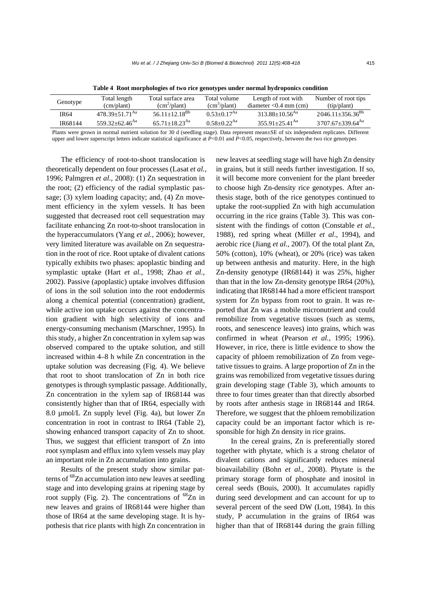| Genotype |         | Total length                   | Total surface area            | Total volume                | Length of root with            | Number of root tips              |
|----------|---------|--------------------------------|-------------------------------|-----------------------------|--------------------------------|----------------------------------|
|          |         | (cm/plant)                     | $(cm^2$ /plant)               | $(cm3/\text{plant})$        | diameter $< 0.4$ mm (cm)       | (iip/plant)                      |
|          | IR64    | $478.39 + 51.71^{Aa}$          | $56.11+12.18^{Bb}$            | $0.53+0.17^{Aa}$            | $313.88 + 10.56$ <sup>Aa</sup> | $2046.11 \pm 356.36^{Bb}$        |
|          | IR68144 | $559.32 + 62.46$ <sup>Aa</sup> | $65.71 + 18.23$ <sup>Aa</sup> | $0.58 + 0.22$ <sup>Aa</sup> | $355.91 + 25.41$ <sup>Aa</sup> | $3707.67 + 339.64$ <sup>Aa</sup> |
|          |         |                                |                               |                             |                                |                                  |

**Table 4 Root morphologies of two rice genotypes under normal hydroponics condition** 

Plants were grown in normal nutrient solution for 30 d (seedling stage). Data represent mean±SE of six independent replicates. Different upper and lower superscript letters indicate statistical significance at *P*<0.01 and *P*<0.05, respectively, between the two rice genotypes

The efficiency of root-to-shoot translocation is theoretically dependent on four processes (Lasat *et al.*, 1996; Palmgren *et al.*, 2008): (1) Zn sequestration in the root; (2) efficiency of the radial symplastic passage; (3) xylem loading capacity; and, (4) Zn movement efficiency in the xylem vessels. It has been suggested that decreased root cell sequestration may facilitate enhancing Zn root-to-shoot translocation in the hyperaccumulators (Yang *et al.*, 2006); however, very limited literature was available on Zn sequestration in the root of rice. Root uptake of divalent cations typically exhibits two phases: apoplastic binding and symplastic uptake (Hart *et al.*, 1998; Zhao *et al.*, 2002). Passive (apoplastic) uptake involves diffusion of ions in the soil solution into the root endodermis along a chemical potential (concentration) gradient, while active ion uptake occurs against the concentration gradient with high selectivity of ions and energy-consuming mechanism (Marschner, 1995). In this study, a higher Zn concentration in xylem sap was observed compared to the uptake solution, and still increased within 4–8 h while Zn concentration in the uptake solution was decreasing (Fig. 4). We believe that root to shoot translocation of Zn in both rice genotypes is through symplastic passage. Additionally, Zn concentration in the xylem sap of IR68144 was consistently higher than that of IR64, especially with 8.0 µmol/L Zn supply level (Fig. 4a), but lower Zn concentration in root in contrast to IR64 (Table 2), showing enhanced transport capacity of Zn to shoot. Thus, we suggest that efficient transport of Zn into root symplasm and efflux into xylem vessels may play an important role in Zn accumulation into grains.

Results of the present study show similar patterns of <sup>68</sup>Zn accumulation into new leaves at seedling stage and into developing grains at ripening stage by root supply (Fig. 2). The concentrations of  ${}^{68}Zn$  in new leaves and grains of IR68144 were higher than those of IR64 at the same developing stage. It is hypothesis that rice plants with high Zn concentration in new leaves at seedling stage will have high Zn density in grains, but it still needs further investigation. If so, it will become more convenient for the plant breeder to choose high Zn-density rice genotypes. After anthesis stage, both of the rice genotypes continued to uptake the root-supplied Zn with high accumulation occurring in the rice grains (Table 3). This was consistent with the findings of cotton (Constable *et al.*, 1988), red spring wheat (Miller *et al*., 1994), and aerobic rice (Jiang *et al.*, 2007). Of the total plant Zn, 50% (cotton), 10% (wheat), or 20% (rice) was taken up between anthesis and maturity. Here, in the high Zn-density genotype (IR68144) it was 25%, higher than that in the low Zn-density genotype IR64 (20%), indicating that IR68144 had a more efficient transport system for Zn bypass from root to grain. It was reported that Zn was a mobile micronutrient and could remobilize from vegetative tissues (such as stems, roots, and senescence leaves) into grains, which was confirmed in wheat (Pearson *et al.*, 1995; 1996). However, in rice, there is little evidence to show the capacity of phloem remobilization of Zn from vegetative tissues to grains. A large proportion of Zn in the grains was remobilized from vegetative tissues during grain developing stage (Table 3), which amounts to three to four times greater than that directly absorbed by roots after anthesis stage in IR68144 and IR64. Therefore, we suggest that the phloem remobilization capacity could be an important factor which is responsible for high Zn density in rice grains.

In the cereal grains, Zn is preferentially stored together with phytate, which is a strong chelator of divalent cations and significantly reduces mineral bioavailability (Bohn *et al.*, 2008). Phytate is the primary storage form of phosphate and inositol in cereal seeds (Bouis, 2000). It accumulates rapidly during seed development and can account for up to several percent of the seed DW (Lott, 1984). In this study, P accumulation in the grains of IR64 was higher than that of IR68144 during the grain filling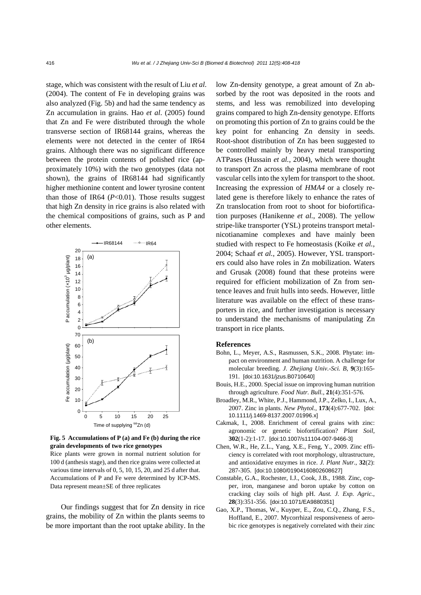stage, which was consistent with the result of Liu *et al*. (2004). The content of Fe in developing grains was also analyzed (Fig. 5b) and had the same tendency as Zn accumulation in grains. Hao *et al*. (2005) found that Zn and Fe were distributed through the whole transverse section of IR68144 grains, whereas the elements were not detected in the center of IR64 grains. Although there was no significant difference between the protein contents of polished rice (approximately 10%) with the two genotypes (data not shown), the grains of IR68144 had significantly higher methionine content and lower tyrosine content than those of IR64 (*P*<0.01). Those results suggest that high Zn density in rice grains is also related with the chemical compositions of grains, such as P and other elements.



**Fig. 5 Accumulations of P (a) and Fe (b) during the rice grain developments of two rice genotypes** 

Rice plants were grown in normal nutrient solution for 100 d (anthesis stage), and then rice grains were collected at various time intervals of 0, 5, 10, 15, 20, and 25 d after that. Accumulations of P and Fe were determined by ICP-MS. Data represent mean±SE of three replicates

Our findings suggest that for Zn density in rice grains, the mobility of Zn within the plants seems to be more important than the root uptake ability. In the low Zn-density genotype, a great amount of Zn absorbed by the root was deposited in the roots and stems, and less was remobilized into developing grains compared to high Zn-density genotype. Efforts on promoting this portion of Zn to grains could be the key point for enhancing Zn density in seeds. Root-shoot distribution of Zn has been suggested to be controlled mainly by heavy metal transporting ATPases (Hussain *et al.*, 2004), which were thought to transport Zn across the plasma membrane of root vascular cells into the xylem for transport to the shoot. Increasing the expression of *HMA4* or a closely related gene is therefore likely to enhance the rates of Zn translocation from root to shoot for biofortification purposes (Hanikenne *et al.*, 2008). The yellow stripe-like transporter (YSL) proteins transport metalnicotianamine complexes and have mainly been studied with respect to Fe homeostasis (Koike *et al.*, 2004; Schaaf *et al.*, 2005). However, YSL transporters could also have roles in Zn mobilization. Waters and Grusak (2008) found that these proteins were required for efficient mobilization of Zn from sentence leaves and fruit hulls into seeds. However, little literature was available on the effect of these transporters in rice, and further investigation is necessary to understand the mechanisms of manipulating Zn transport in rice plants.

#### **References**

- Bohn, L., Meyer, A.S., Rasmussen, S.K., 2008. Phytate: impact on environment and human nutrition. A challenge for molecular breeding. *J. Zhejiang Univ.-Sci. B*, **9**(3):165- 191. [doi:10.1631/jzus.B0710640]
- Bouis, H.E., 2000. Special issue on improving human nutrition through agriculture. *Food Nutr. Bull.*, **21**(4):351-576.
- Broadley, M.R., White, P.J., Hammond, J.P., Zelko, I., Lux, A., 2007. Zinc in plants. *New Phytol.*, **173**(4):677-702. [doi: 10.1111/j.1469-8137.2007.01996.x]
- Cakmak, I., 2008. Enrichment of cereal grains with zinc: agronomic or genetic biofortification? *Plant Soil*, **302**(1-2):1-17. [doi:10.1007/s11104-007-9466-3]
- Chen, W.R., He, Z.L., Yang, X.E., Feng, Y., 2009. Zinc efficiency is correlated with root morphology, ultrastructure, and antioxidative enzymes in rice. *J. Plant Nutr.*, **32**(2): 287-305. [doi:10.1080/01904160802608627]
- Constable, G.A., Rochester, I.J., Cook, J.B., 1988. Zinc, copper, iron, manganese and boron uptake by cotton on cracking clay soils of high pH. *Aust. J. Exp. Agric.*, **28**(3):351-356. [doi:10.1071/EA9880351]
- Gao, X.P., Thomas, W., Kuyper, E., Zou, C.Q., Zhang, F.S., Hoffland, E., 2007. Mycorrhizal responsiveness of aerobic rice genotypes is negatively correlated with their zinc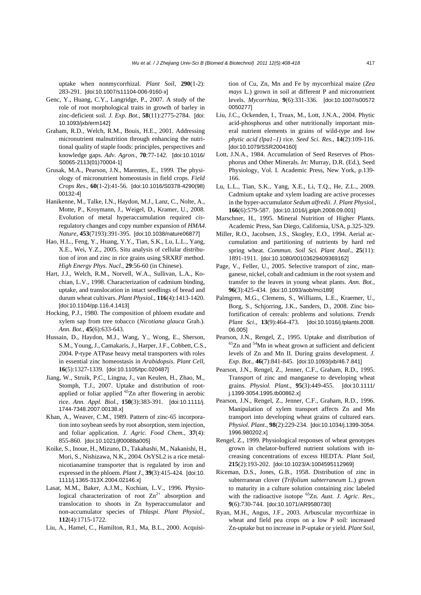uptake when nonmycorrhizal. *Plant Soil*, **290**(1-2): 283-291. [doi:10.1007/s11104-006-9160-x]

- Genc, Y., Huang, C.Y., Langridge, P., 2007. A study of the role of root morphological traits in growth of barley in zinc-deficient soil. *J. Exp. Bot.*, **58**(11):2775-2784. [doi: 10.1093/jxb/erm142]
- Graham, R.D., Welch, R.M., Bouis, H.E., 2001. Addressing micronutrient malnutrition through enhancing the nutritional quality of staple foods: principles, perspectives and knowledge gaps. *Adv. Agron.*, **70**:77-142. [doi:10.1016/ S0065-2113(01)70004-1]
- Grusak, M.A., Pearson, J.N., Marentes, E., 1999. The physiology of micronutrient homeostasis in field crops. *Field Crops Res*., **60**(1-2):41-56. [doi:10.1016/S0378-4290(98) 00132-4]
- Hanikenne, M., Talke, I.N., Haydon, M.J., Lanz, C., Nolte, A., Motte, P., Kroymann, J., Weigel, D., Kramer, U., 2008. Evolution of metal hyperaccumulation required *cis*regulatory changes and copy number expansion of *HMA4*. *Nature*, **453**(7193):391-395. [doi:10.1038/nature06877]
- Hao, H.L., Feng, Y., Huang, Y.Y., Tian, S.K., Lu, L.L., Yang, X.E., Wei, Y.Z., 2005. Situ analysis of cellular distribution of iron and zinc in rice grains using SRXRF method. *High Energy Phys. Nucl*., **29**:56-60 (in Chinese).
- Hart, J.J., Welch, R.M., Norvell, W.A., Sullivan, L.A., Kochian, L.V., 1998. Characterization of cadmium binding, uptake, and translocation in intact seedlings of bread and durum wheat cultivars. *Plant Physiol.*, **116**(4):1413-1420. [doi:10.1104/pp.116.4.1413]
- Hocking, P.J., 1980. The composition of phloem exudate and xylem sap from tree tobacco (*Nicotiana glauca* Grah.). *Ann. Bot.*, **45**(6):633-643.
- Hussain, D., Haydon, M.J., Wang, Y., Wong, E., Sherson, S.M., Young, J., Camakaris, J., Harper, J.F., Cobbett, C.S., 2004. P-type ATPase heavy metal transporters with roles in essential zinc homeostasis in *Arabidopsis*. *Plant Cell*, **16**(5):1327-1339. [doi:10.1105/tpc.020487]
- Jiang, W., Struik, P.C., Lingna, J., van Keulen, H., Zhao, M., Stomph, T.J., 2007. Uptake and distribution of rootapplied or foliar applied <sup>65</sup>Zn after flowering in aerobic rice. *Ann. Appl. Biol.*, **150**(3):383-391. [doi:10.1111/j. 1744-7348.2007.00138.x]
- Khan, A., Weaver, C.M., 1989. Pattern of zinc-65 incorporation into soybean seeds by root absorption, stem injection, and foliar application. *J. Agric. Food Chem.*, **37**(4): 855-860. [doi:10.1021/jf00088a005]
- Koike, S., Inoue, H., Mizuno, D., Takahashi, M., Nakanishi, H., Mori, S., Nishizawa, N.K., 2004. OsYSL2 is a rice metalnicotianamine transporter that is regulated by iron and expressed in the phloem. *Plant J*., **39**(3):415-424. [doi:10. 1111/j.1365-313X.2004.02146.x]
- Lasat, M.M., Baker, A.J.M., Kochian, L.V., 1996. Physiological characterization of root  $Zn^{2+}$  absorption and translocation to shoots in Zn hyperaccumulator and non-accumulator species of *Thlaspi*. *Plant Physiol.*, **112**(4):1715-1722.
- Liu, A., Hamel, C., Hamilton, R.I., Ma, B.L., 2000. Acquisi-

tion of Cu, Zn, Mn and Fe by mycorrhizal maize (*Zea mays* L.) grown in soil at different P and micronutrient levels. *Mycorrhiza*, **9**(6):331-336. [doi:10.1007/s00572 0050277]

- Liu, J.C., Ockenden, I., Truax, M., Lott, J.N.A., 2004. Phytic acid-phosphorus and other nutritionally important mineral nutrient elements in grains of wild-type and *low phytic acid (lpa1–1)* rice. *Seed Sci. Res.*, **14**(2):109-116. [doi:10.1079/SSR2004160]
- Lott, J.N.A., 1984. Accumulation of Seed Reserves of Phosphorus and Other Minerals. *In*: Murray, D.R. (Ed.), Seed Physiology, Vol. I. Academic Press, New York, p.139- 166.
- Lu, L.L., Tian, S.K., Yang, X.E., Li, T.Q., He, Z.L., 2009. Cadmium uptake and xylem loading are active processes in the hyper-accumulator *Sedum alfredii*. *J. Plant Physiol.*, **166**(6):579-587. [doi:10.1016/j.jplph.2008.09.001]
- Marschner, H., 1995. Mineral Nutrition of Higher Plants. Academic Press, San Diego, California, USA, p.325-329.
- Miller, R.O., Jacobsen, J.S., Skogley, E.O., 1994. Aerial accumulation and partitioning of nutrients by hard red spring wheat. *Commun. Soil Sci. Plant Anal.*, **25**(11): 1891-1911. [doi:10.1080/00103629409369162]
- Page, V., Feller, U., 2005. Selective transport of zinc, manganese, nickel, cobalt and cadmium in the root system and transfer to the leaves in young wheat plants. *Ann. Bot.*, **96**(3):425-434. [doi:10.1093/aob/mci189]
- Palmgren, M.G., Clemens, S., Williams, L.E., Kraemer, U., Borg, S., Schjorring, J.K., Sanders, D., 2008. Zinc biofortification of cereals: problems and solutions. *Trends Plant Sci*., **13**(9):464-473. [doi:10.1016/j.tplants.2008. 06.005]
- Pearson, J.N., Rengel, Z., 1995. Uptake and distribution of <sup>65</sup>Zn and <sup>54</sup>Mn in wheat grown at sufficient and deficient levels of Zn and Mn II. During grains development. *J. Exp. Bot.*, **46**(7):841-845. [doi:10.1093/jxb/46.7.841]
- Pearson, J.N., Rengel, Z., Jenner, C.F., Graham, R.D., 1995. Transport of zinc and manganese to developing wheat grains. *Physiol. Plant.*, **95**(3):449-455. [doi:10.1111/ j.1399-3054.1995.tb00862.x]
- Pearson, J.N., Rengel, Z., Jenner, C.F., Graham, R.D., 1996. Manipulation of xylem transport affects Zn and Mn transport into developing wheat grains of cultured ears. *Physiol. Plant.*, **98**(2):229-234. [doi:10.1034/j.1399-3054. 1996.980202.x]
- Rengel, Z., 1999. Physiological responses of wheat genotypes grown in chelator-buffered nutrient solutions with increasing concentrations of excess HEDTA. *Plant Soil*, **215**(2):193-202. [doi:10.1023/A:1004595112969]
- Riceman, D.S., Jones, G.B., 1958. Distribution of zinc in subterranean clover (*Trifolium subterraneum* L.) grown to maturity in a culture solution containing zinc labeled with the radioactive isotope 65Zn. *Aust. J. Agric. Res.*, **9**(6):730-744. [doi:10.1071/AR9580730]
- Ryan, M.H., Angus, J.F., 2003. Arbuscular mycorrhizae in wheat and field pea crops on a low P soil: increased Zn-uptake but no increase in P-uptake or yield. *Plant Soil*,